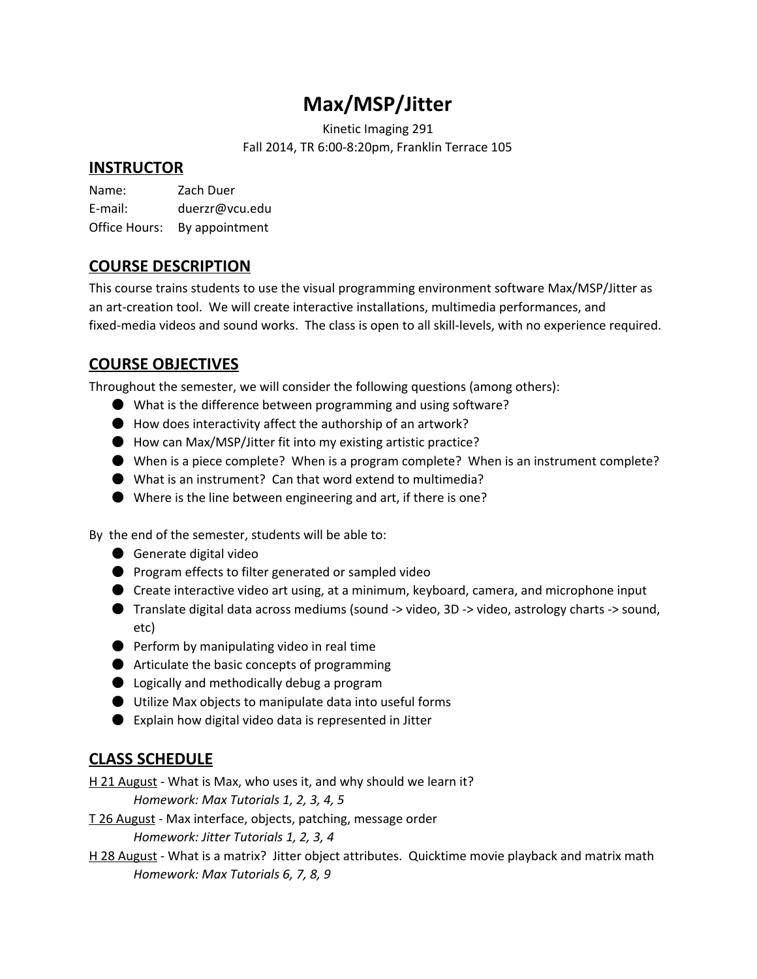# **Max/MSP/Jitter**

Kinetic Imaging 291 Fall 2014, TR 6:00-8:20pm, Franklin Terrace 105

# **INSTRUCTOR**

Name: Zach Duer E-mail: duerzr@vcu.edu Office Hours: By appointment

### **COURSE DESCRIPTION**

This course trains students to use the visual programming environment software Max/MSP/Jitter as an art-creation tool. We will create interactive installations, multimedia performances, and fixed-media videos and sound works. The class is open to all skill-levels, with no experience required.

# **COURSE OBJECTIVES**

Throughout the semester, we will consider the following questions (among others):

- What is the difference between programming and using software?
- $\bullet$  How does interactivity affect the authorship of an artwork?
- How can Max/MSP/Jitter fit into my existing artistic practice?
- When is a piece complete? When is a program complete? When is an instrument complete?
- What is an instrument? Can that word extend to multimedia?
- Where is the line between engineering and art, if there is one?

By the end of the semester, students will be able to:

- Generate digital video
- Program effects to filter generated or sampled video
- Create interactive video art using, at a minimum, keyboard, camera, and microphone input
- Translate digital data across mediums (sound -> video, 3D -> video, astrology charts -> sound, etc)
- Perform by manipulating video in real time
- Articulate the basic concepts of programming
- Logically and methodically debug a program
- Utilize Max objects to manipulate data into useful forms
- Explain how digital video data is represented in Jitter

# **CLASS SCHEDULE**

H 21 August - What is Max, who uses it, and why should we learn it? *Homework: Max Tutorials 1, 2, 3, 4, 5*

T 26 August - Max interface, objects, patching, message order *Homework: Jitter Tutorials 1, 2, 3, 4*

H 28 August - What is a matrix? Jitter object attributes. Quicktime movie playback and matrix math *Homework: Max Tutorials 6, 7, 8, 9*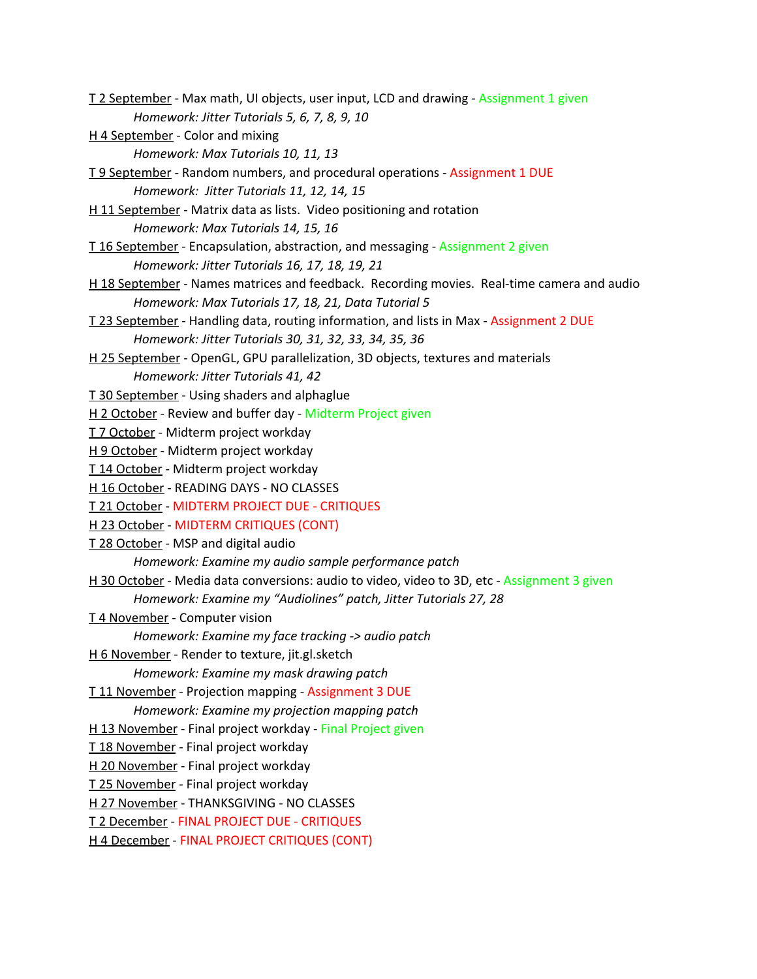T 2 September - Max math, UI objects, user input, LCD and drawing - Assignment 1 given *Homework: Jitter Tutorials 5, 6, 7, 8, 9, 10* H 4 September - Color and mixing *Homework: Max Tutorials 10, 11, 13* T 9 September - Random numbers, and procedural operations - Assignment 1 DUE *Homework: Jitter Tutorials 11, 12, 14, 15* H 11 September - Matrix data as lists. Video positioning and rotation *Homework: Max Tutorials 14, 15, 16* T 16 September - Encapsulation, abstraction, and messaging - Assignment 2 given *Homework: Jitter Tutorials 16, 17, 18, 19, 21* H 18 September - Names matrices and feedback. Recording movies. Real-time camera and audio *Homework: Max Tutorials 17, 18, 21, Data Tutorial 5* T 23 September - Handling data, routing information, and lists in Max - Assignment 2 DUE *Homework: Jitter Tutorials 30, 31, 32, 33, 34, 35, 36* H 25 September - OpenGL, GPU parallelization, 3D objects, textures and materials *Homework: Jitter Tutorials 41, 42* T 30 September - Using shaders and alphaglue H 2 October - Review and buffer day - Midterm Project given T 7 October - Midterm project workday H 9 October - Midterm project workday T 14 October - Midterm project workday H 16 October - READING DAYS - NO CLASSES T 21 October - MIDTERM PROJECT DUE - CRITIQUES H 23 October - MIDTERM CRITIQUES (CONT) T 28 October - MSP and digital audio *Homework: Examine my audio sample performance patch* H 30 October - Media data conversions: audio to video, video to 3D, etc - Assignment 3 given *Homework: Examine my "Audiolines" patch, Jitter Tutorials 27, 28* T 4 November - Computer vision *Homework: Examine my face tracking -> audio patch* H 6 November - Render to texture, jit.gl.sketch *Homework: Examine my mask drawing patch* T 11 November - Projection mapping - Assignment 3 DUE *Homework: Examine my projection mapping patch* H 13 November - Final project workday - Final Project given T 18 November - Final project workday H 20 November - Final project workday T 25 November - Final project workday H 27 November - THANKSGIVING - NO CLASSES T 2 December - FINAL PROJECT DUE - CRITIQUES H 4 December - FINAL PROJECT CRITIQUES (CONT)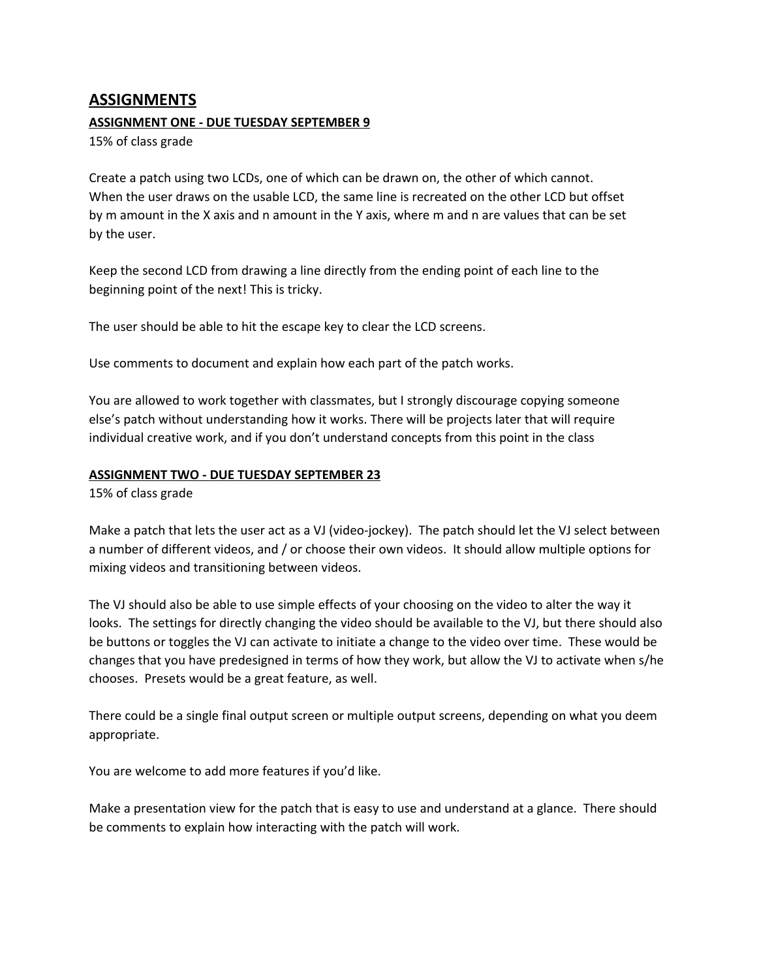### **ASSIGNMENTS**

#### **ASSIGNMENT ONE - DUE TUESDAY SEPTEMBER 9**

15% of class grade

Create a patch using two LCDs, one of which can be drawn on, the other of which cannot. When the user draws on the usable LCD, the same line is recreated on the other LCD but offset by m amount in the X axis and n amount in the Y axis, where m and n are values that can be set by the user.

Keep the second LCD from drawing a line directly from the ending point of each line to the beginning point of the next! This is tricky.

The user should be able to hit the escape key to clear the LCD screens.

Use comments to document and explain how each part of the patch works.

You are allowed to work together with classmates, but I strongly discourage copying someone else's patch without understanding how it works. There will be projects later that will require individual creative work, and if you don't understand concepts from this point in the class

#### **ASSIGNMENT TWO - DUE TUESDAY SEPTEMBER 23**

15% of class grade

Make a patch that lets the user act as a VJ (video-jockey). The patch should let the VJ select between a number of different videos, and / or choose their own videos. It should allow multiple options for mixing videos and transitioning between videos.

The VJ should also be able to use simple effects of your choosing on the video to alter the way it looks. The settings for directly changing the video should be available to the VJ, but there should also be buttons or toggles the VJ can activate to initiate a change to the video over time. These would be changes that you have predesigned in terms of how they work, but allow the VJ to activate when s/he chooses. Presets would be a great feature, as well.

There could be a single final output screen or multiple output screens, depending on what you deem appropriate.

You are welcome to add more features if you'd like.

Make a presentation view for the patch that is easy to use and understand at a glance. There should be comments to explain how interacting with the patch will work.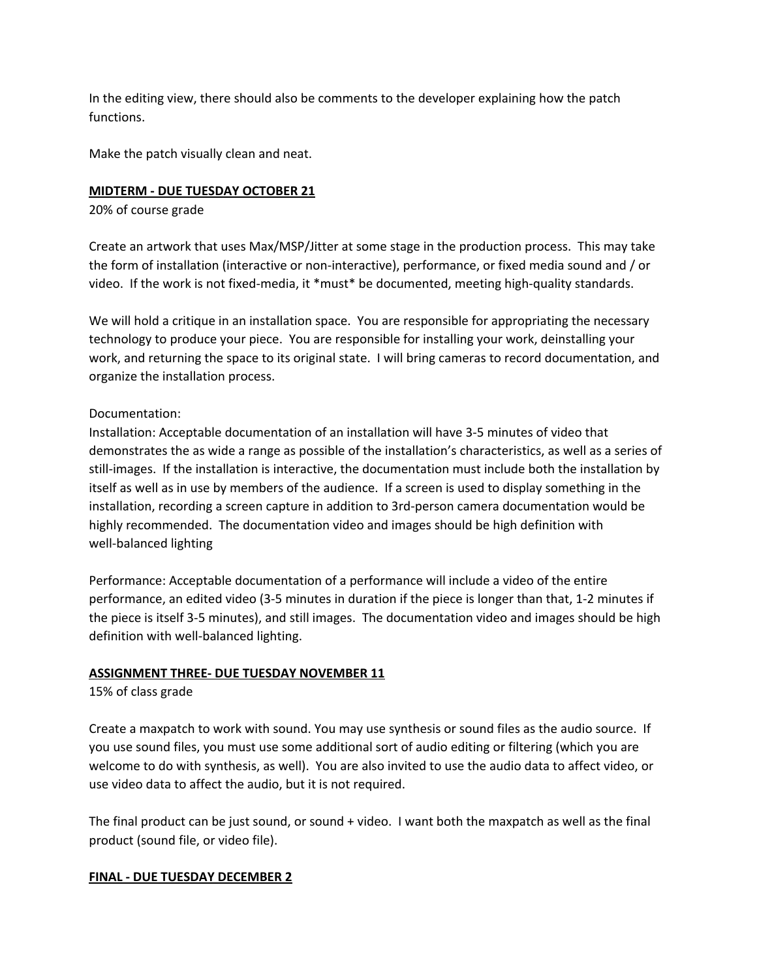In the editing view, there should also be comments to the developer explaining how the patch functions.

Make the patch visually clean and neat.

#### **MIDTERM - DUE TUESDAY OCTOBER 21**

20% of course grade

Create an artwork that uses Max/MSP/Jitter at some stage in the production process. This may take the form of installation (interactive or non-interactive), performance, or fixed media sound and / or video. If the work is not fixed-media, it \*must\* be documented, meeting high-quality standards.

We will hold a critique in an installation space. You are responsible for appropriating the necessary technology to produce your piece. You are responsible for installing your work, deinstalling your work, and returning the space to its original state. I will bring cameras to record documentation, and organize the installation process.

#### Documentation:

Installation: Acceptable documentation of an installation will have 3-5 minutes of video that demonstrates the as wide a range as possible of the installation's characteristics, as well as a series of still-images. If the installation is interactive, the documentation must include both the installation by itself as well as in use by members of the audience. If a screen is used to display something in the installation, recording a screen capture in addition to 3rd-person camera documentation would be highly recommended. The documentation video and images should be high definition with well-balanced lighting

Performance: Acceptable documentation of a performance will include a video of the entire performance, an edited video (3-5 minutes in duration if the piece is longer than that, 1-2 minutes if the piece is itself 3-5 minutes), and still images. The documentation video and images should be high definition with well-balanced lighting.

#### **ASSIGNMENT THREE- DUE TUESDAY NOVEMBER 11**

15% of class grade

Create a maxpatch to work with sound. You may use synthesis or sound files as the audio source. If you use sound files, you must use some additional sort of audio editing or filtering (which you are welcome to do with synthesis, as well). You are also invited to use the audio data to affect video, or use video data to affect the audio, but it is not required.

The final product can be just sound, or sound + video. I want both the maxpatch as well as the final product (sound file, or video file).

#### **FINAL - DUE TUESDAY DECEMBER 2**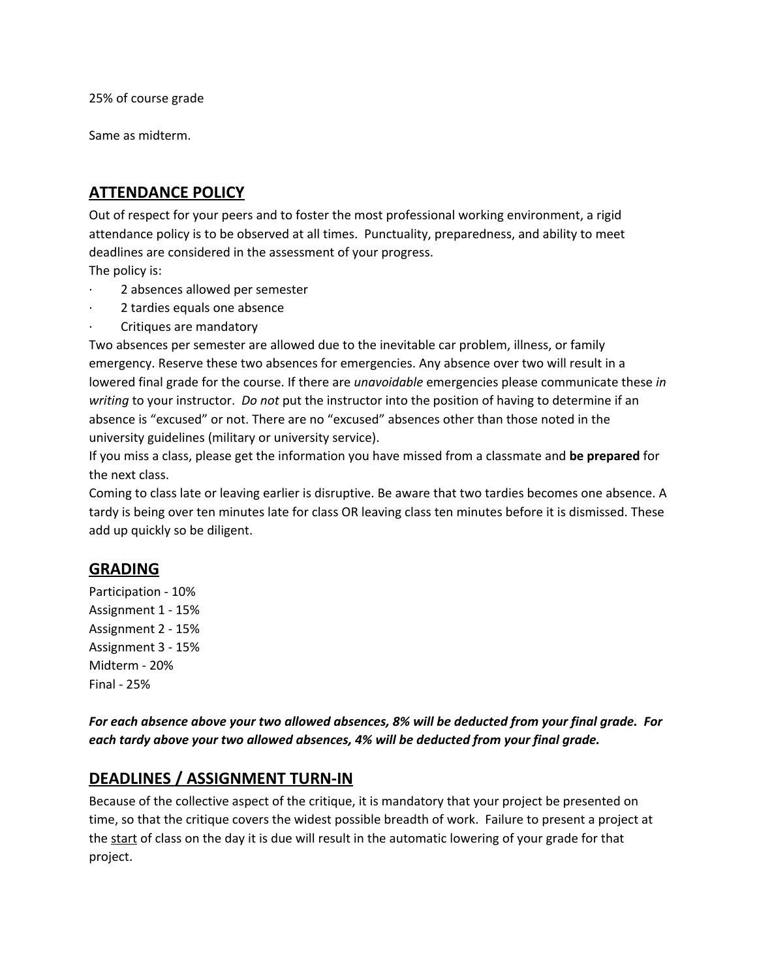25% of course grade

Same as midterm.

# **ATTENDANCE POLICY**

Out of respect for your peers and to foster the most professional working environment, a rigid attendance policy is to be observed at all times. Punctuality, preparedness, and ability to meet deadlines are considered in the assessment of your progress.

The policy is:

- · 2 absences allowed per semester
- 2 tardies equals one absence
- Critiques are mandatory

Two absences per semester are allowed due to the inevitable car problem, illness, or family emergency. Reserve these two absences for emergencies. Any absence over two will result in a lowered final grade for the course. If there are *unavoidable* emergencies please communicate these *in writing* to your instructor. *Do not* put the instructor into the position of having to determine if an absence is "excused" or not. There are no "excused" absences other than those noted in the university guidelines (military or university service).

If you miss a class, please get the information you have missed from a classmate and **be prepared**for the next class.

Coming to class late or leaving earlier is disruptive. Be aware that two tardies becomes one absence. A tardy is being over ten minutes late for class OR leaving class ten minutes before it is dismissed. These add up quickly so be diligent.

### **GRADING**

Participation - 10% Assignment 1 - 15% Assignment 2 - 15% Assignment 3 - 15% Midterm - 20% Final - 25%

*For each absence above your two allowed absences, 8% will be deducted from your final grade. For each tardy above your two allowed absences, 4% will be deducted from your final grade.*

# **DEADLINES / ASSIGNMENT TURN-IN**

Because of the collective aspect of the critique, it is mandatory that your project be presented on time, so that the critique covers the widest possible breadth of work. Failure to present a project at the start of class on the day it is due will result in the automatic lowering of your grade for that project.